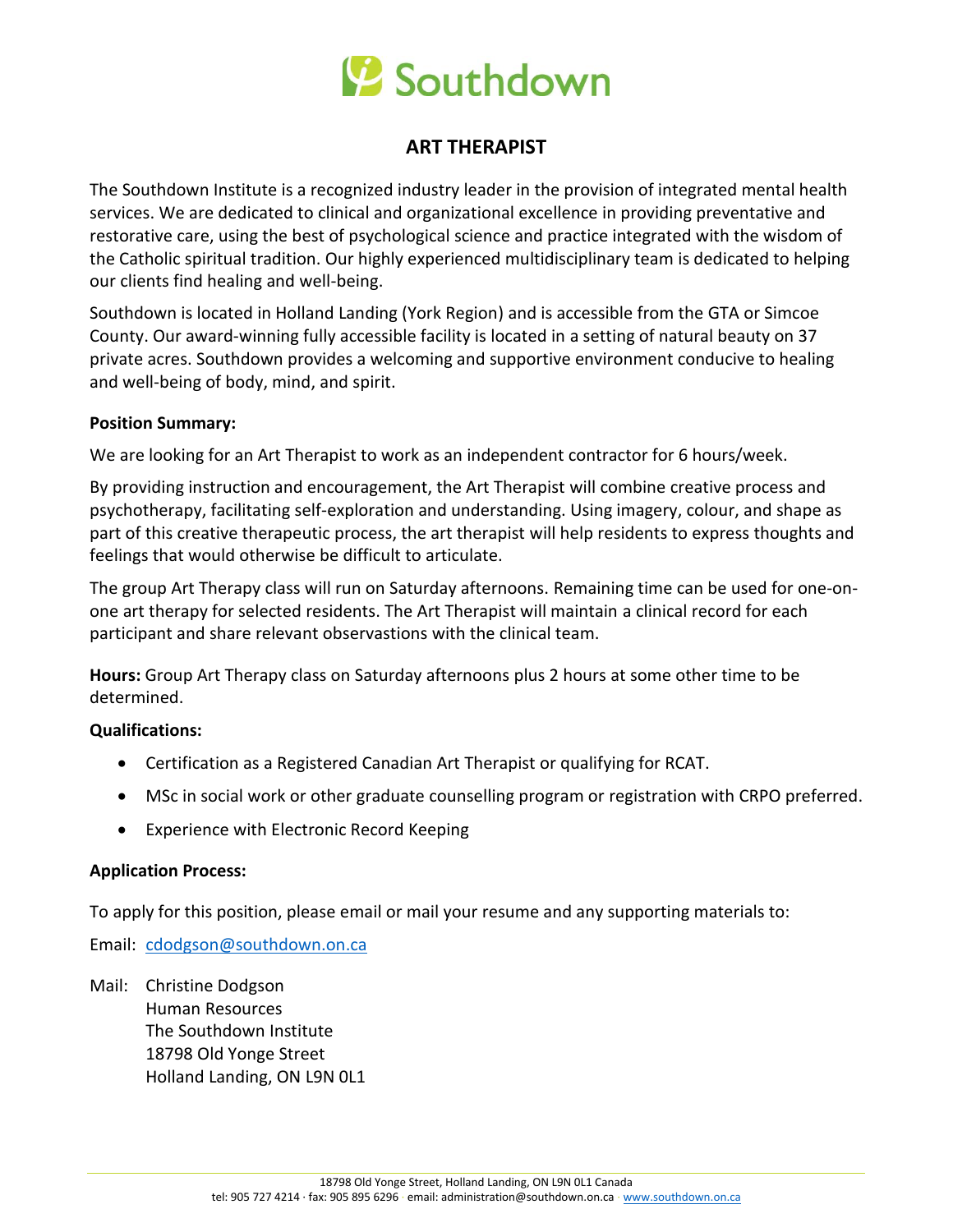# Southdown

### **ART THERAPIST**

The Southdown Institute is a recognized industry leader in the provision of integrated mental health services. We are dedicated to clinical and organizational excellence in providing preventative and restorative care, using the best of psychological science and practice integrated with the wisdom of the Catholic spiritual tradition. Our highly experienced multidisciplinary team is dedicated to helping our clients find healing and well-being.

Southdown is located in Holland Landing (York Region) and is accessible from the GTA or Simcoe County. Our award-winning fully accessible facility is located in a setting of natural beauty on 37 private acres. Southdown provides a welcoming and supportive environment conducive to healing and well-being of body, mind, and spirit.

#### **Position Summary:**

We are looking for an Art Therapist to work as an independent contractor for 6 hours/week.

By providing instruction and encouragement, the Art Therapist will combine creative process and psychotherapy, facilitating self-exploration and understanding. Using imagery, colour, and shape as part of this creative therapeutic process, the art therapist will help residents to express thoughts and feelings that would otherwise be difficult to articulate.

The group Art Therapy class will run on Saturday afternoons. Remaining time can be used for one-onone art therapy for selected residents. The Art Therapist will maintain a clinical record for each participant and share relevant observastions with the clinical team.

**Hours:** Group Art Therapy class on Saturday afternoons plus 2 hours at some other time to be determined.

### **Qualifications:**

- Certification as a Registered Canadian Art Therapist or qualifying for RCAT.
- MSc in social work or other graduate counselling program or registration with CRPO preferred.
- Experience with Electronic Record Keeping

#### **Application Process:**

To apply for this position, please email or mail your resume and any supporting materials to:

Email: [cdodgson@southdown.on.ca](mailto:cdodgson@southdown.on.ca)

Mail: Christine Dodgson Human Resources The Southdown Institute 18798 Old Yonge Street Holland Landing, ON L9N 0L1